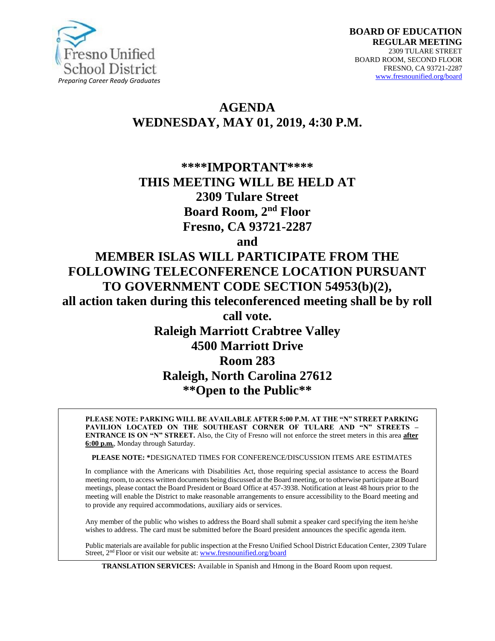

# **AGENDA WEDNESDAY, MAY 01, 2019, 4:30 P.M.**

# **\*\*\*\*IMPORTANT\*\*\*\* THIS MEETING WILL BE HELD AT 2309 Tulare Street Board Room, 2nd Floor Fresno, CA 93721-2287**

**and**

**MEMBER ISLAS WILL PARTICIPATE FROM THE FOLLOWING TELECONFERENCE LOCATION PURSUANT TO GOVERNMENT CODE SECTION 54953(b)(2), all action taken during this teleconferenced meeting shall be by roll call vote. Raleigh Marriott Crabtree Valley** 

# **4500 Marriott Drive Room 283 Raleigh, North Carolina 27612 \*\*Open to the Public\*\***

**PLEASE NOTE: PARKING WILL BE AVAILABLE AFTER 5:00 P.M. AT THE "N" STREET PARKING PAVILION LOCATED ON THE SOUTHEAST CORNER OF TULARE AND "N" STREETS – ENTRANCE IS ON "N" STREET.** Also, the City of Fresno will not enforce the street meters in this area **after 6:00 p.m.**, Monday through Saturday.

**PLEASE NOTE: \***DESIGNATED TIMES FOR CONFERENCE/DISCUSSION ITEMS ARE ESTIMATES

In compliance with the Americans with Disabilities Act, those requiring special assistance to access the Board meeting room, to access written documents being discussed at the Board meeting, or to otherwise participate at Board meetings, please contact the Board President or Board Office at 457-3938. Notification at least 48 hours prior to the meeting will enable the District to make reasonable arrangements to ensure accessibility to the Board meeting and to provide any required accommodations, auxiliary aids or services.

Any member of the public who wishes to address the Board shall submit a speaker card specifying the item he/she wishes to address. The card must be submitted before the Board president announces the specific agenda item.

Public materials are available for public inspection at the Fresno Unified School District Education Center, 2309 Tulare Street, 2<sup>nd</sup> Floor or visit our website at: [www.fresnounified.org/board](http://www.fresnounified.org/board)

**TRANSLATION SERVICES:** Available in Spanish and Hmong in the Board Room upon request.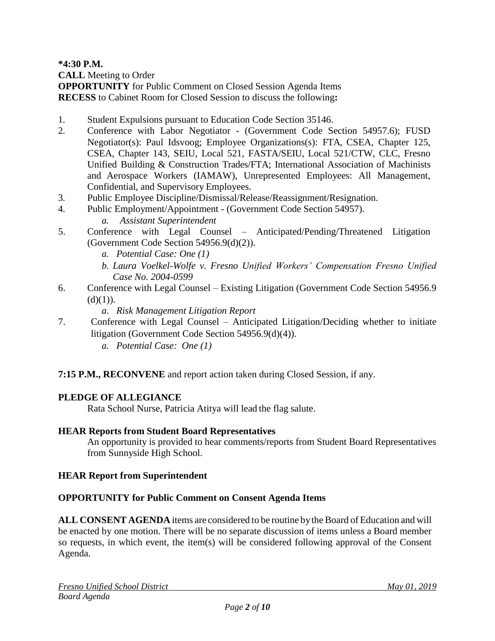**\*4:30 P.M.**

**CALL** Meeting to Order

**OPPORTUNITY** for Public Comment on Closed Session Agenda Items **RECESS** to Cabinet Room for Closed Session to discuss the following**:**

- 1. Student Expulsions pursuant to Education Code Section 35146.
- 2. Conference with Labor Negotiator (Government Code Section 54957.6); FUSD Negotiator(s): Paul Idsvoog; Employee Organizations(s): FTA, CSEA, Chapter 125, CSEA, Chapter 143, SEIU, Local 521, FASTA/SEIU, Local 521/CTW, CLC, Fresno Unified Building & Construction Trades/FTA; International Association of Machinists and Aerospace Workers (IAMAW), Unrepresented Employees: All Management, Confidential, and Supervisory Employees.
- 3. Public Employee Discipline/Dismissal/Release/Reassignment/Resignation.
- 4. Public Employment/Appointment (Government Code Section 54957). *a. Assistant Superintendent*
- 5. Conference with Legal Counsel Anticipated/Pending/Threatened Litigation (Government Code Section 54956.9(d)(2)).
	- *a. Potential Case: One (1)*
	- *b. Laura Voelkel-Wolfe v. Fresno Unified Workers' Compensation Fresno Unified Case No. 2004-0599*
- 6. Conference with Legal Counsel Existing Litigation (Government Code Section 54956.9  $(d)(1)$ ).
	- *a. Risk Management Litigation Report*
- 7. Conference with Legal Counsel Anticipated Litigation/Deciding whether to initiate litigation (Government Code Section 54956.9(d)(4)).
	- *a. Potential Case: One (1)*

**7:15 P.M., RECONVENE** and report action taken during Closed Session, if any.

# **PLEDGE OF ALLEGIANCE**

Rata School Nurse, Patricia Atitya will lead the flag salute.

### **HEAR Reports from Student Board Representatives**

An opportunity is provided to hear comments/reports from Student Board Representatives from Sunnyside High School.

### **HEAR Report from Superintendent**

### **OPPORTUNITY for Public Comment on Consent Agenda Items**

**ALL CONSENT AGENDA** items are considered to be routine bythe Board of Education and will be enacted by one motion. There will be no separate discussion of items unless a Board member so requests, in which event, the item(s) will be considered following approval of the Consent Agenda.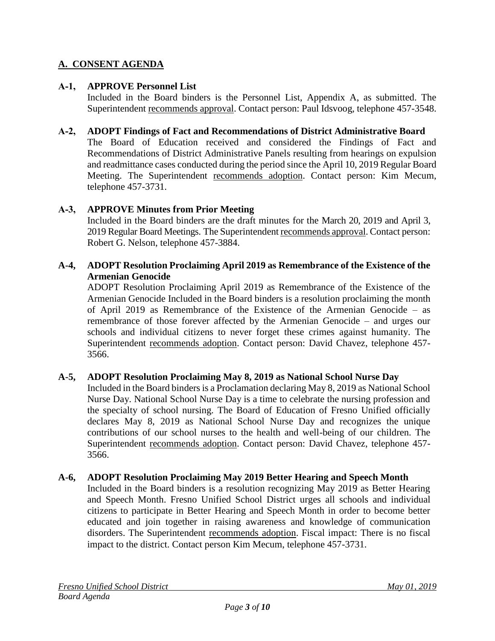# **A. CONSENT AGENDA**

## **A-1, APPROVE Personnel List**

Included in the Board binders is the Personnel List, Appendix A, as submitted. The Superintendent recommends approval. Contact person: Paul Idsvoog, telephone 457-3548.

#### **A-2, ADOPT Findings of Fact and Recommendations of District Administrative Board**

The Board of Education received and considered the Findings of Fact and Recommendations of District Administrative Panels resulting from hearings on expulsion and readmittance cases conducted during the period since the April 10, 2019 Regular Board Meeting. The Superintendent recommends adoption. Contact person: Kim Mecum, telephone 457-3731.

### **A-3, APPROVE Minutes from Prior Meeting**

Included in the Board binders are the draft minutes for the March 20, 2019 and April 3, 2019 Regular Board Meetings. The Superintendent recommends approval. Contact person: Robert G. Nelson, telephone 457-3884.

## **A-4, ADOPT Resolution Proclaiming April 2019 as Remembrance of the Existence of the Armenian Genocide**

ADOPT Resolution Proclaiming April 2019 as Remembrance of the Existence of the Armenian Genocide Included in the Board binders is a resolution proclaiming the month of April 2019 as Remembrance of the Existence of the Armenian Genocide – as remembrance of those forever affected by the Armenian Genocide – and urges our schools and individual citizens to never forget these crimes against humanity. The Superintendent recommends adoption. Contact person: David Chavez, telephone 457- 3566.

### **A-5, ADOPT Resolution Proclaiming May 8, 2019 as National School Nurse Day**

Included in the Board binders is a Proclamation declaring May 8, 2019 as National School Nurse Day. National School Nurse Day is a time to celebrate the nursing profession and the specialty of school nursing. The Board of Education of Fresno Unified officially declares May 8, 2019 as National School Nurse Day and recognizes the unique contributions of our school nurses to the health and well-being of our children. The Superintendent recommends adoption. Contact person: David Chavez, telephone 457- 3566.

### **A-6, ADOPT Resolution Proclaiming May 2019 Better Hearing and Speech Month**

Included in the Board binders is a resolution recognizing May 2019 as Better Hearing and Speech Month. Fresno Unified School District urges all schools and individual citizens to participate in Better Hearing and Speech Month in order to become better educated and join together in raising awareness and knowledge of communication disorders. The Superintendent recommends adoption. Fiscal impact: There is no fiscal impact to the district. Contact person Kim Mecum, telephone 457-3731.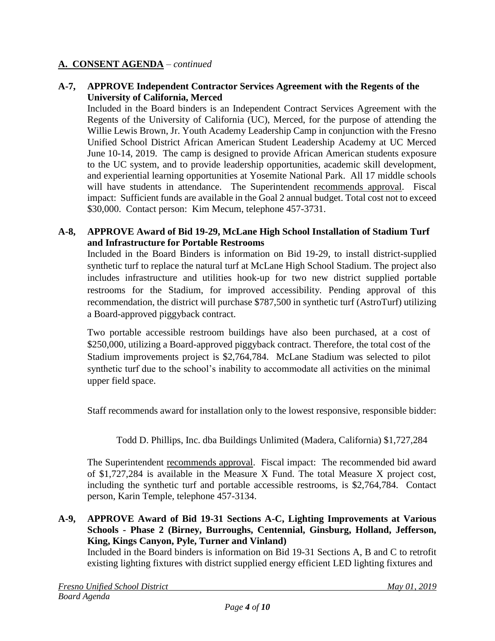## **A-7, APPROVE Independent Contractor Services Agreement with the Regents of the University of California, Merced**

Included in the Board binders is an Independent Contract Services Agreement with the Regents of the University of California (UC), Merced, for the purpose of attending the Willie Lewis Brown, Jr. Youth Academy Leadership Camp in conjunction with the Fresno Unified School District African American Student Leadership Academy at UC Merced June 10-14, 2019. The camp is designed to provide African American students exposure to the UC system, and to provide leadership opportunities, academic skill development, and experiential learning opportunities at Yosemite National Park. All 17 middle schools will have students in attendance. The Superintendent recommends approval. Fiscal impact: Sufficient funds are available in the Goal 2 annual budget. Total cost not to exceed \$30,000. Contact person: Kim Mecum, telephone 457-3731.

#### **A-8, APPROVE Award of Bid 19-29, McLane High School Installation of Stadium Turf and Infrastructure for Portable Restrooms**

Included in the Board Binders is information on Bid 19-29, to install district-supplied synthetic turf to replace the natural turf at McLane High School Stadium. The project also includes infrastructure and utilities hook-up for two new district supplied portable restrooms for the Stadium, for improved accessibility. Pending approval of this recommendation, the district will purchase \$787,500 in synthetic turf (AstroTurf) utilizing a Board-approved piggyback contract.

Two portable accessible restroom buildings have also been purchased, at a cost of \$250,000, utilizing a Board-approved piggyback contract. Therefore, the total cost of the Stadium improvements project is \$2,764,784. McLane Stadium was selected to pilot synthetic turf due to the school's inability to accommodate all activities on the minimal upper field space.

Staff recommends award for installation only to the lowest responsive, responsible bidder:

Todd D. Phillips, Inc. dba Buildings Unlimited (Madera, California) \$1,727,284

The Superintendent recommends approval. Fiscal impact: The recommended bid award of \$1,727,284 is available in the Measure X Fund. The total Measure X project cost, including the synthetic turf and portable accessible restrooms, is \$2,764,784. Contact person, Karin Temple, telephone 457-3134.

## **A-9, APPROVE Award of Bid 19-31 Sections A-C, Lighting Improvements at Various Schools - Phase 2 (Birney, Burroughs, Centennial, Ginsburg, Holland, Jefferson, King, Kings Canyon, Pyle, Turner and Vinland)**

Included in the Board binders is information on Bid 19-31 Sections A, B and C to retrofit existing lighting fixtures with district supplied energy efficient LED lighting fixtures and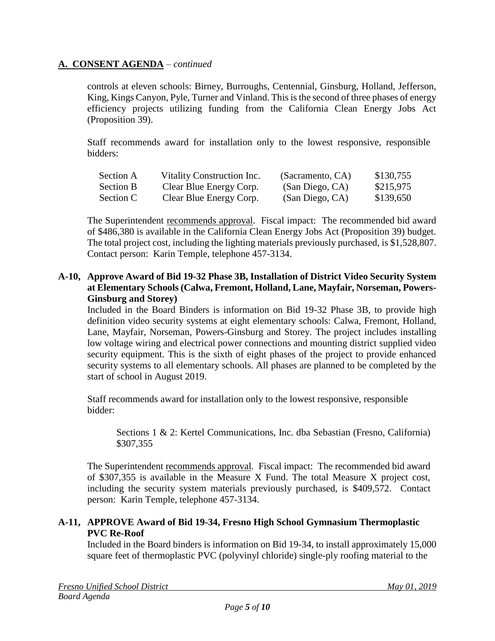controls at eleven schools: Birney, Burroughs, Centennial, Ginsburg, Holland, Jefferson, King, Kings Canyon, Pyle, Turner and Vinland. This is the second of three phases of energy efficiency projects utilizing funding from the California Clean Energy Jobs Act (Proposition 39).

Staff recommends award for installation only to the lowest responsive, responsible bidders:

| Section A        | Vitality Construction Inc. | (Sacramento, CA) | \$130,755 |
|------------------|----------------------------|------------------|-----------|
| <b>Section B</b> | Clear Blue Energy Corp.    | (San Diego, CA)  | \$215,975 |
| Section C        | Clear Blue Energy Corp.    | (San Diego, CA)  | \$139,650 |

The Superintendent recommends approval. Fiscal impact: The recommended bid award of \$486,380 is available in the California Clean Energy Jobs Act (Proposition 39) budget. The total project cost, including the lighting materials previously purchased, is \$1,528,807. Contact person: Karin Temple, telephone 457-3134.

#### **A-10, Approve Award of Bid 19-32 Phase 3B, Installation of District Video Security System at Elementary Schools (Calwa, Fremont, Holland, Lane, Mayfair, Norseman, Powers-Ginsburg and Storey)**

Included in the Board Binders is information on Bid 19-32 Phase 3B, to provide high definition video security systems at eight elementary schools: Calwa, Fremont, Holland, Lane, Mayfair, Norseman, Powers-Ginsburg and Storey. The project includes installing low voltage wiring and electrical power connections and mounting district supplied video security equipment. This is the sixth of eight phases of the project to provide enhanced security systems to all elementary schools. All phases are planned to be completed by the start of school in August 2019.

Staff recommends award for installation only to the lowest responsive, responsible bidder:

Sections 1 & 2: Kertel Communications, Inc. dba Sebastian (Fresno, California) \$307,355

The Superintendent recommends approval. Fiscal impact: The recommended bid award of \$307,355 is available in the Measure X Fund. The total Measure X project cost, including the security system materials previously purchased, is \$409,572. Contact person: Karin Temple, telephone 457-3134.

## **A-11, APPROVE Award of Bid 19-34, Fresno High School Gymnasium Thermoplastic PVC Re-Roof**

Included in the Board binders is information on Bid 19-34, to install approximately 15,000 square feet of thermoplastic PVC (polyvinyl chloride) single-ply roofing material to the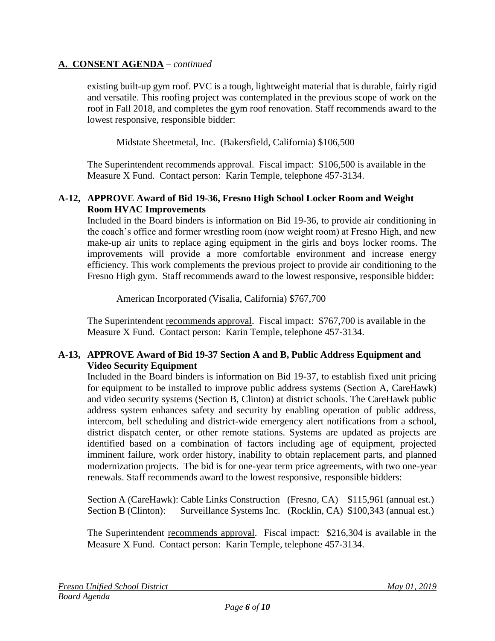existing built-up gym roof. PVC is a tough, lightweight material that is durable, fairly rigid and versatile. This roofing project was contemplated in the previous scope of work on the roof in Fall 2018, and completes the gym roof renovation. Staff recommends award to the lowest responsive, responsible bidder:

Midstate Sheetmetal, Inc. (Bakersfield, California) \$106,500

The Superintendent recommends approval. Fiscal impact: \$106,500 is available in the Measure X Fund. Contact person: Karin Temple, telephone 457-3134.

## **A-12, APPROVE Award of Bid 19-36, Fresno High School Locker Room and Weight Room HVAC Improvements**

Included in the Board binders is information on Bid 19-36, to provide air conditioning in the coach's office and former wrestling room (now weight room) at Fresno High, and new make-up air units to replace aging equipment in the girls and boys locker rooms. The improvements will provide a more comfortable environment and increase energy efficiency. This work complements the previous project to provide air conditioning to the Fresno High gym. Staff recommends award to the lowest responsive, responsible bidder:

American Incorporated (Visalia, California) \$767,700

The Superintendent recommends approval. Fiscal impact: \$767,700 is available in the Measure X Fund. Contact person: Karin Temple, telephone 457-3134.

## **A-13, APPROVE Award of Bid 19-37 Section A and B, Public Address Equipment and Video Security Equipment**

Included in the Board binders is information on Bid 19-37, to establish fixed unit pricing for equipment to be installed to improve public address systems (Section A, CareHawk) and video security systems (Section B, Clinton) at district schools. The CareHawk public address system enhances safety and security by enabling operation of public address, intercom, bell scheduling and district-wide emergency alert notifications from a school, district dispatch center, or other remote stations. Systems are updated as projects are identified based on a combination of factors including age of equipment, projected imminent failure, work order history, inability to obtain replacement parts, and planned modernization projects. The bid is for one-year term price agreements, with two one-year renewals. Staff recommends award to the lowest responsive, responsible bidders:

Section A (CareHawk): Cable Links Construction (Fresno, CA) \$115,961 (annual est.) Section B (Clinton): Surveillance Systems Inc. (Rocklin, CA) \$100,343 (annual est.)

The Superintendent recommends approval. Fiscal impact: \$216,304 is available in the Measure X Fund. Contact person: Karin Temple, telephone 457-3134.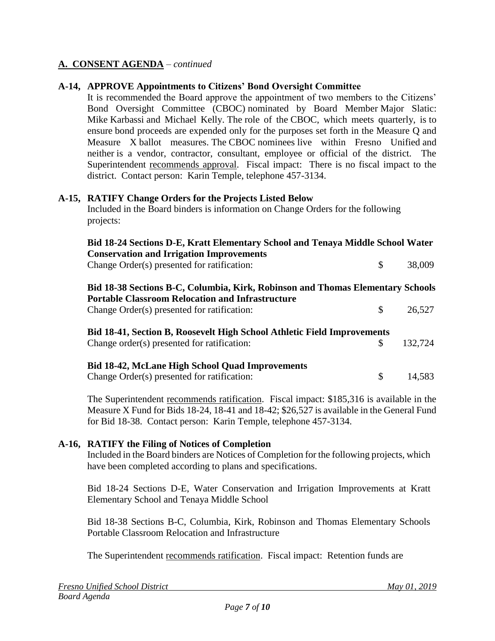### **A-14, APPROVE Appointments to Citizens' Bond Oversight Committee**

It is recommended the Board approve the appointment of two members to the Citizens' Bond Oversight Committee (CBOC) nominated by Board Member Major Slatic: Mike Karbassi and Michael Kelly. The role of the CBOC, which meets quarterly, is to ensure bond proceeds are expended only for the purposes set forth in the Measure Q and Measure X ballot measures. The CBOC nominees live within Fresno Unified and neither is a vendor, contractor, consultant, employee or official of the district. The Superintendent recommends approval. Fiscal impact: There is no fiscal impact to the district. Contact person: Karin Temple, telephone 457-3134.

#### **A-15, RATIFY Change Orders for the Projects Listed Below**

Included in the Board binders is information on Change Orders for the following projects:

| Bid 18-24 Sections D-E, Kratt Elementary School and Tenaya Middle School Water<br><b>Conservation and Irrigation Improvements</b>         |     |         |
|-------------------------------------------------------------------------------------------------------------------------------------------|-----|---------|
| Change Order(s) presented for ratification:                                                                                               | \$  | 38,009  |
| Bid 18-38 Sections B-C, Columbia, Kirk, Robinson and Thomas Elementary Schools<br><b>Portable Classroom Relocation and Infrastructure</b> |     |         |
| Change Order(s) presented for ratification:                                                                                               | \$. | 26,527  |
| <b>Bid 18-41, Section B, Roosevelt High School Athletic Field Improvements</b>                                                            |     |         |
| Change order(s) presented for ratification:                                                                                               |     | 132,724 |
| <b>Bid 18-42, McLane High School Quad Improvements</b>                                                                                    |     |         |
| Change Order(s) presented for ratification:                                                                                               |     | 14,583  |

The Superintendent recommends ratification. Fiscal impact: \$185,316 is available in the Measure X Fund for Bids 18-24, 18-41 and 18-42; \$26,527 is available in the General Fund for Bid 18-38. Contact person: Karin Temple, telephone 457-3134.

#### **A-16, RATIFY the Filing of Notices of Completion**

Included in the Board binders are Notices of Completion for the following projects, which have been completed according to plans and specifications.

Bid 18-24 Sections D-E, Water Conservation and Irrigation Improvements at Kratt Elementary School and Tenaya Middle School

Bid 18-38 Sections B-C, Columbia, Kirk, Robinson and Thomas Elementary Schools Portable Classroom Relocation and Infrastructure

The Superintendent recommends ratification. Fiscal impact: Retention funds are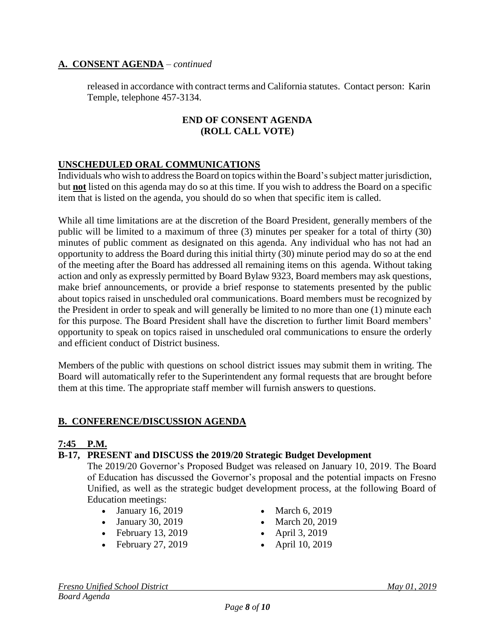released in accordance with contract terms and California statutes. Contact person: Karin Temple, telephone 457-3134.

### **END OF CONSENT AGENDA (ROLL CALL VOTE)**

## **UNSCHEDULED ORAL COMMUNICATIONS**

Individuals who wish to address the Board on topics within the Board's subject matter jurisdiction, but **not** listed on this agenda may do so at this time. If you wish to address the Board on a specific item that is listed on the agenda, you should do so when that specific item is called.

While all time limitations are at the discretion of the Board President, generally members of the public will be limited to a maximum of three (3) minutes per speaker for a total of thirty (30) minutes of public comment as designated on this agenda. Any individual who has not had an opportunity to address the Board during this initial thirty (30) minute period may do so at the end of the meeting after the Board has addressed all remaining items on this agenda. Without taking action and only as expressly permitted by Board Bylaw 9323, Board members may ask questions, make brief announcements, or provide a brief response to statements presented by the public about topics raised in unscheduled oral communications. Board members must be recognized by the President in order to speak and will generally be limited to no more than one (1) minute each for this purpose. The Board President shall have the discretion to further limit Board members' opportunity to speak on topics raised in unscheduled oral communications to ensure the orderly and efficient conduct of District business.

Members of the public with questions on school district issues may submit them in writing. The Board will automatically refer to the Superintendent any formal requests that are brought before them at this time. The appropriate staff member will furnish answers to questions.

### **B. CONFERENCE/DISCUSSION AGENDA**

### **7:45 P.M.**

### **B-17, PRESENT and DISCUSS the 2019/20 Strategic Budget Development**

The 2019/20 Governor's Proposed Budget was released on January 10, 2019. The Board of Education has discussed the Governor's proposal and the potential impacts on Fresno Unified, as well as the strategic budget development process, at the following Board of Education meetings:

- January 16, 2019 March 6, 2019
- January 30, 2019 March 20, 2019
- February 13, 2019 April 3, 2019
- February 27, 2019 April 10, 2019
- 
- 
- -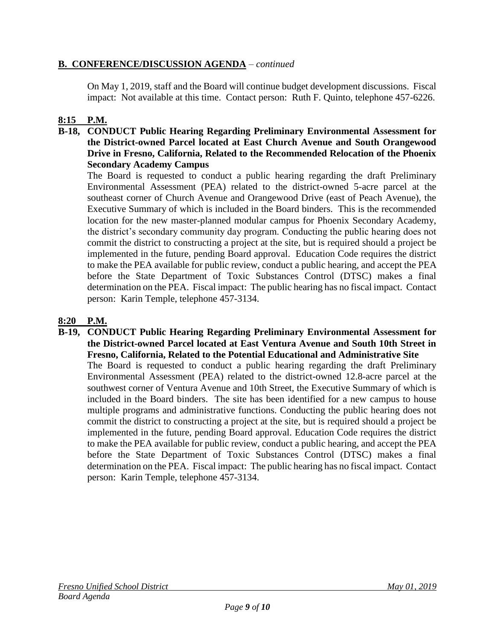## **B. CONFERENCE/DISCUSSION AGENDA** – *continued*

On May 1, 2019, staff and the Board will continue budget development discussions. Fiscal impact: Not available at this time. Contact person: Ruth F. Quinto, telephone 457-6226.

# **8:15 P.M.**

**B-18, CONDUCT Public Hearing Regarding Preliminary Environmental Assessment for the District-owned Parcel located at East Church Avenue and South Orangewood Drive in Fresno, California, Related to the Recommended Relocation of the Phoenix Secondary Academy Campus**

The Board is requested to conduct a public hearing regarding the draft Preliminary Environmental Assessment (PEA) related to the district-owned 5-acre parcel at the southeast corner of Church Avenue and Orangewood Drive (east of Peach Avenue), the Executive Summary of which is included in the Board binders. This is the recommended location for the new master-planned modular campus for Phoenix Secondary Academy, the district's secondary community day program. Conducting the public hearing does not commit the district to constructing a project at the site, but is required should a project be implemented in the future, pending Board approval. Education Code requires the district to make the PEA available for public review, conduct a public hearing, and accept the PEA before the State Department of Toxic Substances Control (DTSC) makes a final determination on the PEA. Fiscal impact: The public hearing has no fiscal impact. Contact person: Karin Temple, telephone 457-3134.

## **8:20 P.M.**

**B-19, CONDUCT Public Hearing Regarding Preliminary Environmental Assessment for the District-owned Parcel located at East Ventura Avenue and South 10th Street in Fresno, California, Related to the Potential Educational and Administrative Site** The Board is requested to conduct a public hearing regarding the draft Preliminary Environmental Assessment (PEA) related to the district-owned 12.8-acre parcel at the southwest corner of Ventura Avenue and 10th Street, the Executive Summary of which is included in the Board binders. The site has been identified for a new campus to house multiple programs and administrative functions. Conducting the public hearing does not commit the district to constructing a project at the site, but is required should a project be implemented in the future, pending Board approval. Education Code requires the district to make the PEA available for public review, conduct a public hearing, and accept the PEA before the State Department of Toxic Substances Control (DTSC) makes a final determination on the PEA. Fiscal impact: The public hearing has no fiscal impact. Contact person: Karin Temple, telephone 457-3134.